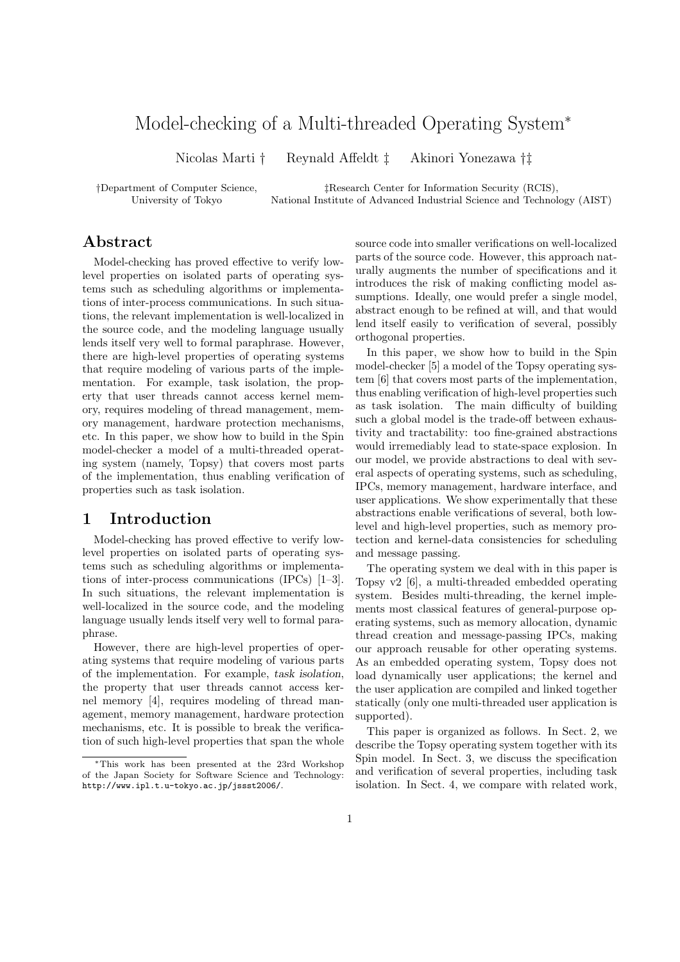# Model-checking of a Multi-threaded Operating System<sup>∗</sup>

Nicolas Marti † Reynald Affeldt ‡ Akinori Yonezawa †‡

†Department of Computer Science, ‡Research Center for Information Security (RCIS),

University of Tokyo National Institute of Advanced Industrial Science and Technology (AIST)

# Abstract

Model-checking has proved effective to verify lowlevel properties on isolated parts of operating systems such as scheduling algorithms or implementations of inter-process communications. In such situations, the relevant implementation is well-localized in the source code, and the modeling language usually lends itself very well to formal paraphrase. However, there are high-level properties of operating systems that require modeling of various parts of the implementation. For example, task isolation, the property that user threads cannot access kernel memory, requires modeling of thread management, memory management, hardware protection mechanisms, etc. In this paper, we show how to build in the Spin model-checker a model of a multi-threaded operating system (namely, Topsy) that covers most parts of the implementation, thus enabling verification of properties such as task isolation.

# 1 Introduction

Model-checking has proved effective to verify lowlevel properties on isolated parts of operating systems such as scheduling algorithms or implementations of inter-process communications (IPCs) [1–3]. In such situations, the relevant implementation is well-localized in the source code, and the modeling language usually lends itself very well to formal paraphrase.

However, there are high-level properties of operating systems that require modeling of various parts of the implementation. For example, task isolation, the property that user threads cannot access kernel memory [4], requires modeling of thread management, memory management, hardware protection mechanisms, etc. It is possible to break the verification of such high-level properties that span the whole

source code into smaller verifications on well-localized parts of the source code. However, this approach naturally augments the number of specifications and it introduces the risk of making conflicting model assumptions. Ideally, one would prefer a single model, abstract enough to be refined at will, and that would lend itself easily to verification of several, possibly orthogonal properties.

In this paper, we show how to build in the Spin model-checker [5] a model of the Topsy operating system [6] that covers most parts of the implementation, thus enabling verification of high-level properties such as task isolation. The main difficulty of building such a global model is the trade-off between exhaustivity and tractability: too fine-grained abstractions would irremediably lead to state-space explosion. In our model, we provide abstractions to deal with several aspects of operating systems, such as scheduling, IPCs, memory management, hardware interface, and user applications. We show experimentally that these abstractions enable verifications of several, both lowlevel and high-level properties, such as memory protection and kernel-data consistencies for scheduling and message passing.

The operating system we deal with in this paper is Topsy v2 [6], a multi-threaded embedded operating system. Besides multi-threading, the kernel implements most classical features of general-purpose operating systems, such as memory allocation, dynamic thread creation and message-passing IPCs, making our approach reusable for other operating systems. As an embedded operating system, Topsy does not load dynamically user applications; the kernel and the user application are compiled and linked together statically (only one multi-threaded user application is supported).

This paper is organized as follows. In Sect. 2, we describe the Topsy operating system together with its Spin model. In Sect. 3, we discuss the specification and verification of several properties, including task isolation. In Sect. 4, we compare with related work,

<sup>∗</sup>This work has been presented at the 23rd Workshop of the Japan Society for Software Science and Technology: http://www.ipl.t.u-tokyo.ac.jp/jssst2006/.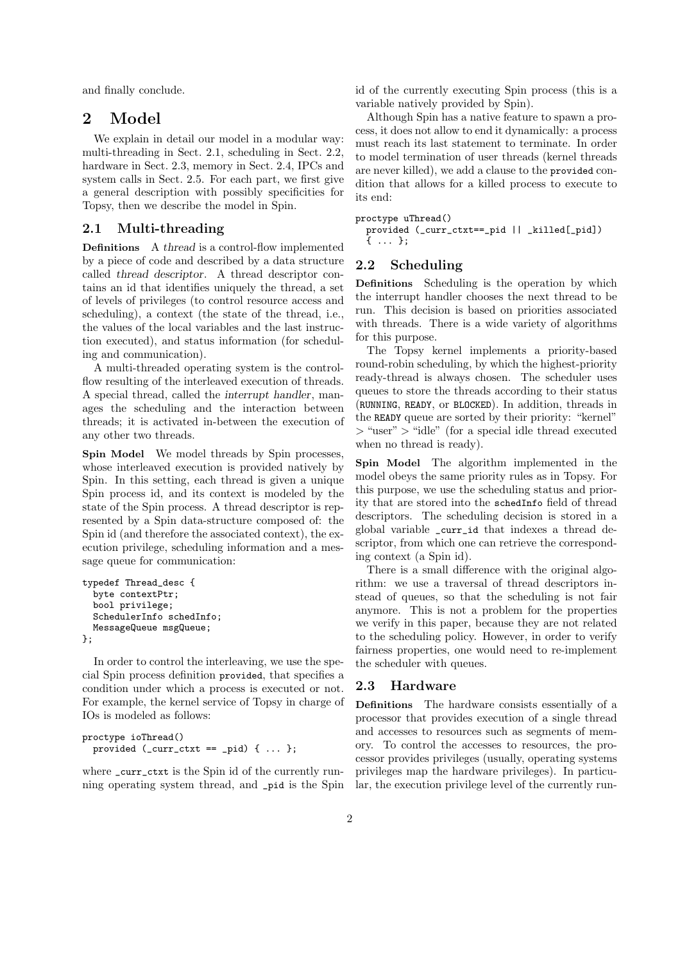and finally conclude.

## 2 Model

We explain in detail our model in a modular way: multi-threading in Sect. 2.1, scheduling in Sect. 2.2, hardware in Sect. 2.3, memory in Sect. 2.4, IPCs and system calls in Sect. 2.5. For each part, we first give a general description with possibly specificities for Topsy, then we describe the model in Spin.

### 2.1 Multi-threading

Definitions A thread is a control-flow implemented by a piece of code and described by a data structure called thread descriptor. A thread descriptor contains an id that identifies uniquely the thread, a set of levels of privileges (to control resource access and scheduling), a context (the state of the thread, i.e., the values of the local variables and the last instruction executed), and status information (for scheduling and communication).

A multi-threaded operating system is the controlflow resulting of the interleaved execution of threads. A special thread, called the interrupt handler, manages the scheduling and the interaction between threads; it is activated in-between the execution of any other two threads.

Spin Model We model threads by Spin processes, whose interleaved execution is provided natively by Spin. In this setting, each thread is given a unique Spin process id, and its context is modeled by the state of the Spin process. A thread descriptor is represented by a Spin data-structure composed of: the Spin id (and therefore the associated context), the execution privilege, scheduling information and a message queue for communication:

```
typedef Thread_desc {
  byte contextPtr;
  bool privilege;
  SchedulerInfo schedInfo;
  MessageQueue msgQueue;
};
```
In order to control the interleaving, we use the special Spin process definition provided, that specifies a condition under which a process is executed or not. For example, the kernel service of Topsy in charge of IOs is modeled as follows:

```
proctype ioThread()
  provided (\_curr\_ctxt ==\_pid) { ... };
```
where \_curr\_ctxt is the Spin id of the currently running operating system thread, and \_pid is the Spin id of the currently executing Spin process (this is a variable natively provided by Spin).

Although Spin has a native feature to spawn a process, it does not allow to end it dynamically: a process must reach its last statement to terminate. In order to model termination of user threads (kernel threads are never killed), we add a clause to the provided condition that allows for a killed process to execute to its end:

```
proctype uThread()
  provided (_curr_ctxt==_pid || _killed[_pid])
  { ... };
```
### 2.2 Scheduling

Definitions Scheduling is the operation by which the interrupt handler chooses the next thread to be run. This decision is based on priorities associated with threads. There is a wide variety of algorithms for this purpose.

The Topsy kernel implements a priority-based round-robin scheduling, by which the highest-priority ready-thread is always chosen. The scheduler uses queues to store the threads according to their status (RUNNING, READY, or BLOCKED). In addition, threads in the READY queue are sorted by their priority: "kernel" > "user" > "idle" (for a special idle thread executed when no thread is ready).

Spin Model The algorithm implemented in the model obeys the same priority rules as in Topsy. For this purpose, we use the scheduling status and priority that are stored into the schedInfo field of thread descriptors. The scheduling decision is stored in a global variable \_curr\_id that indexes a thread descriptor, from which one can retrieve the corresponding context (a Spin id).

There is a small difference with the original algorithm: we use a traversal of thread descriptors instead of queues, so that the scheduling is not fair anymore. This is not a problem for the properties we verify in this paper, because they are not related to the scheduling policy. However, in order to verify fairness properties, one would need to re-implement the scheduler with queues.

#### 2.3 Hardware

Definitions The hardware consists essentially of a processor that provides execution of a single thread and accesses to resources such as segments of memory. To control the accesses to resources, the processor provides privileges (usually, operating systems privileges map the hardware privileges). In particular, the execution privilege level of the currently run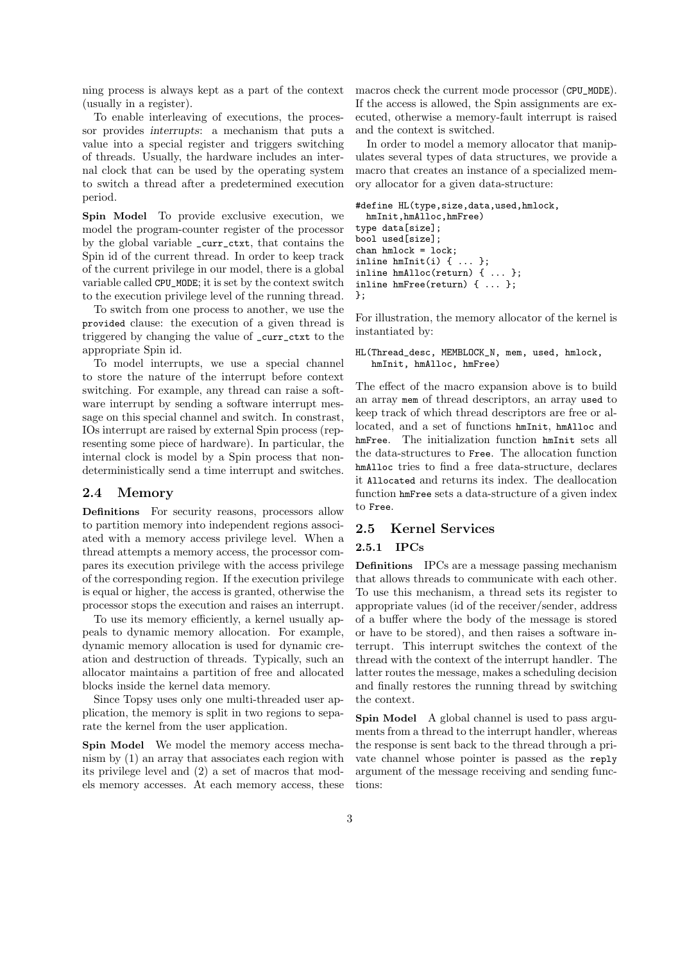ning process is always kept as a part of the context (usually in a register).

To enable interleaving of executions, the processor provides interrupts: a mechanism that puts a value into a special register and triggers switching of threads. Usually, the hardware includes an internal clock that can be used by the operating system to switch a thread after a predetermined execution period.

Spin Model To provide exclusive execution, we model the program-counter register of the processor by the global variable \_curr\_ctxt, that contains the Spin id of the current thread. In order to keep track of the current privilege in our model, there is a global variable called CPU\_MODE; it is set by the context switch to the execution privilege level of the running thread.

To switch from one process to another, we use the provided clause: the execution of a given thread is triggered by changing the value of \_curr\_ctxt to the appropriate Spin id.

To model interrupts, we use a special channel to store the nature of the interrupt before context switching. For example, any thread can raise a software interrupt by sending a software interrupt message on this special channel and switch. In constrast, IOs interrupt are raised by external Spin process (representing some piece of hardware). In particular, the internal clock is model by a Spin process that nondeterministically send a time interrupt and switches.

#### 2.4 Memory

Definitions For security reasons, processors allow to partition memory into independent regions associated with a memory access privilege level. When a thread attempts a memory access, the processor compares its execution privilege with the access privilege of the corresponding region. If the execution privilege is equal or higher, the access is granted, otherwise the processor stops the execution and raises an interrupt.

To use its memory efficiently, a kernel usually appeals to dynamic memory allocation. For example, dynamic memory allocation is used for dynamic creation and destruction of threads. Typically, such an allocator maintains a partition of free and allocated blocks inside the kernel data memory.

Since Topsy uses only one multi-threaded user application, the memory is split in two regions to separate the kernel from the user application.

Spin Model We model the memory access mechanism by (1) an array that associates each region with its privilege level and (2) a set of macros that models memory accesses. At each memory access, these macros check the current mode processor (CPU\_MODE). If the access is allowed, the Spin assignments are executed, otherwise a memory-fault interrupt is raised and the context is switched.

In order to model a memory allocator that manipulates several types of data structures, we provide a macro that creates an instance of a specialized memory allocator for a given data-structure:

```
#define HL(type,size,data,used,hmlock,
 hmInit,hmAlloc,hmFree)
type data[size];
bool used[size];
chan hmlock = lock;
inline hmInit(i) { ... };
inline hmAlloc(return) { ... };
inline hmFree(return) { ... };
};
```
For illustration, the memory allocator of the kernel is instantiated by:

#### HL(Thread\_desc, MEMBLOCK\_N, mem, used, hmlock, hmInit, hmAlloc, hmFree)

The effect of the macro expansion above is to build an array mem of thread descriptors, an array used to keep track of which thread descriptors are free or allocated, and a set of functions hmInit, hmAlloc and hmFree. The initialization function hmInit sets all the data-structures to Free. The allocation function hmAlloc tries to find a free data-structure, declares it Allocated and returns its index. The deallocation function hmFree sets a data-structure of a given index to Free.

#### 2.5 Kernel Services

#### 2.5.1 IPCs

Definitions IPCs are a message passing mechanism that allows threads to communicate with each other. To use this mechanism, a thread sets its register to appropriate values (id of the receiver/sender, address of a buffer where the body of the message is stored or have to be stored), and then raises a software interrupt. This interrupt switches the context of the thread with the context of the interrupt handler. The latter routes the message, makes a scheduling decision and finally restores the running thread by switching the context.

Spin Model A global channel is used to pass arguments from a thread to the interrupt handler, whereas the response is sent back to the thread through a private channel whose pointer is passed as the reply argument of the message receiving and sending functions: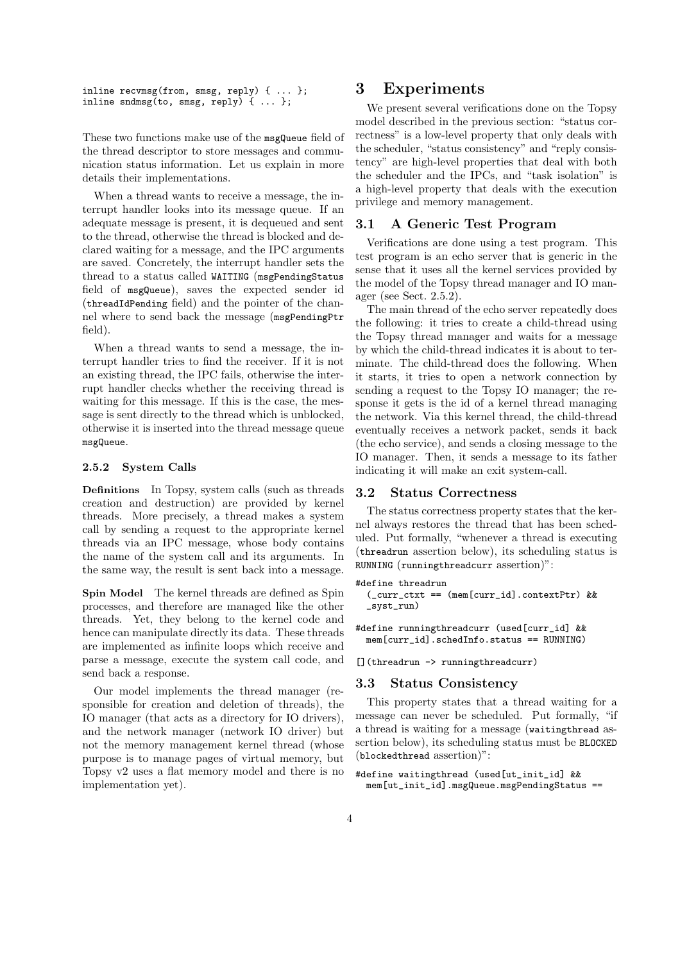inline recvmsg(from, smsg, reply) { ... }; inline sndmsg(to, smsg, reply) { ... };

These two functions make use of the msgQueue field of the thread descriptor to store messages and communication status information. Let us explain in more details their implementations.

When a thread wants to receive a message, the interrupt handler looks into its message queue. If an adequate message is present, it is dequeued and sent to the thread, otherwise the thread is blocked and declared waiting for a message, and the IPC arguments are saved. Concretely, the interrupt handler sets the thread to a status called WAITING (msgPendingStatus field of msgQueue), saves the expected sender id (threadIdPending field) and the pointer of the channel where to send back the message (msgPendingPtr field).

When a thread wants to send a message, the interrupt handler tries to find the receiver. If it is not an existing thread, the IPC fails, otherwise the interrupt handler checks whether the receiving thread is waiting for this message. If this is the case, the message is sent directly to the thread which is unblocked, otherwise it is inserted into the thread message queue msgQueue.

#### 2.5.2 System Calls

Definitions In Topsy, system calls (such as threads creation and destruction) are provided by kernel threads. More precisely, a thread makes a system call by sending a request to the appropriate kernel threads via an IPC message, whose body contains the name of the system call and its arguments. In the same way, the result is sent back into a message.

Spin Model The kernel threads are defined as Spin processes, and therefore are managed like the other threads. Yet, they belong to the kernel code and hence can manipulate directly its data. These threads are implemented as infinite loops which receive and parse a message, execute the system call code, and send back a response.

Our model implements the thread manager (responsible for creation and deletion of threads), the IO manager (that acts as a directory for IO drivers), and the network manager (network IO driver) but not the memory management kernel thread (whose purpose is to manage pages of virtual memory, but Topsy v2 uses a flat memory model and there is no implementation yet).

### 3 Experiments

We present several verifications done on the Topsy model described in the previous section: "status correctness" is a low-level property that only deals with the scheduler, "status consistency" and "reply consistency" are high-level properties that deal with both the scheduler and the IPCs, and "task isolation" is a high-level property that deals with the execution privilege and memory management.

#### 3.1 A Generic Test Program

Verifications are done using a test program. This test program is an echo server that is generic in the sense that it uses all the kernel services provided by the model of the Topsy thread manager and IO manager (see Sect. 2.5.2).

The main thread of the echo server repeatedly does the following: it tries to create a child-thread using the Topsy thread manager and waits for a message by which the child-thread indicates it is about to terminate. The child-thread does the following. When it starts, it tries to open a network connection by sending a request to the Topsy IO manager; the response it gets is the id of a kernel thread managing the network. Via this kernel thread, the child-thread eventually receives a network packet, sends it back (the echo service), and sends a closing message to the IO manager. Then, it sends a message to its father indicating it will make an exit system-call.

### 3.2 Status Correctness

The status correctness property states that the kernel always restores the thread that has been scheduled. Put formally, "whenever a thread is executing (threadrun assertion below), its scheduling status is RUNNING (runningthreadcurr assertion)":

```
#define threadrun
  (_curr_ctxt == (mem[curr_id].contextPtr) &&
  _syst_run)
```
#define runningthreadcurr (used[curr\_id] && mem[curr\_id].schedInfo.status == RUNNING)

[](threadrun -> runningthreadcurr)

### 3.3 Status Consistency

This property states that a thread waiting for a message can never be scheduled. Put formally, "if a thread is waiting for a message (waitingthread assertion below), its scheduling status must be BLOCKED (blockedthread assertion)":

#define waitingthread (used[ut\_init\_id] && mem[ut\_init\_id].msgQueue.msgPendingStatus ==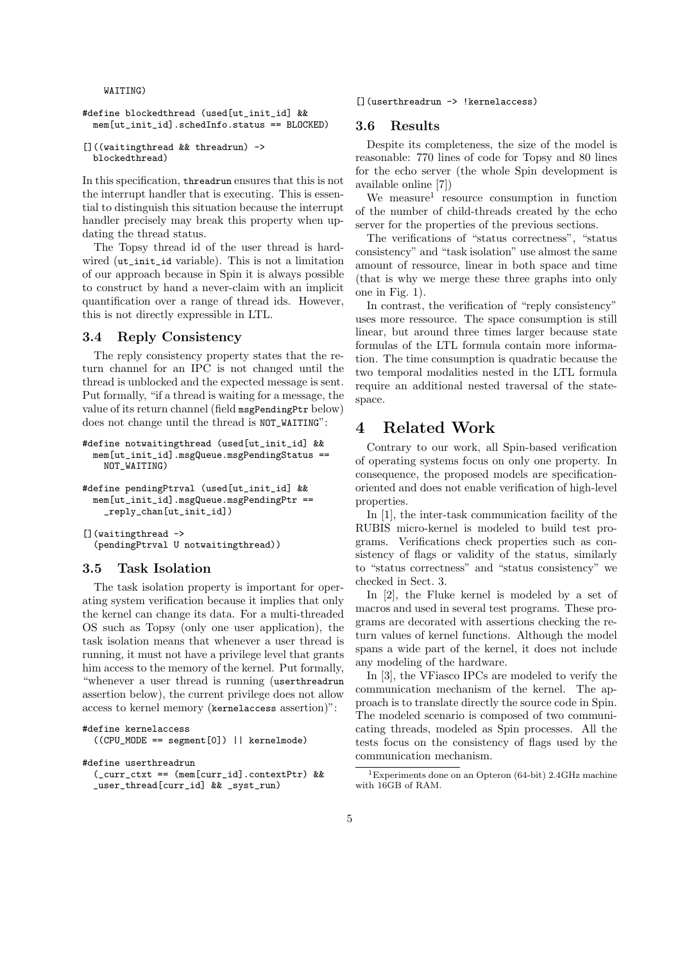WAITING)

```
#define blockedthread (used ut init id] &&
 mem[ut_init_id].schedInfo.status == BLOCKED)
```

```
[]((waitingthread && threadrun) ->
 blockedthread)
```
In this specification, threadrun ensures that this is not the interrupt handler that is executing. This is essential to distinguish this situation because the interrupt handler precisely may break this property when updating the thread status.

The Topsy thread id of the user thread is hardwired (ut\_init\_id variable). This is not a limitation of our approach because in Spin it is always possible to construct by hand a never-claim with an implicit quantification over a range of thread ids. However, this is not directly expressible in LTL.

#### 3.4 Reply Consistency

The reply consistency property states that the return channel for an IPC is not changed until the thread is unblocked and the expected message is sent. Put formally, "if a thread is waiting for a message, the value of its return channel (field msgPendingPtr below) does not change until the thread is NOT WAITING":

```
#define notwaitingthread (used[ut_init_id] &&
 mem[ut_init_id].msgQueue.msgPendingStatus ==
   NOT_WAITING)
```

```
#define pendingPtrval (used[ut_init_id] &&
  mem[ut_init_id].msgQueue.msgPendingPtr ==
    _reply_chan[ut_init_id])
```

```
[](waitingthread ->
 (pendingPtrval U notwaitingthread))
```
### 3.5 Task Isolation

The task isolation property is important for operating system verification because it implies that only the kernel can change its data. For a multi-threaded OS such as Topsy (only one user application), the task isolation means that whenever a user thread is running, it must not have a privilege level that grants him access to the memory of the kernel. Put formally, "whenever a user thread is running (userthreadrun assertion below), the current privilege does not allow access to kernel memory (kernelaccess assertion)":

```
#define kernelaccess
  ((CPU_MODE == segment[0]) || kernelmode)
#define userthreadrun
```

```
(_curr_ctxt == (mem[curr_id].contextPtr) &&
_user_thread[curr_id] && _syst_run)
```
#### [](userthreadrun -> !kernelaccess)

#### 3.6 Results

Despite its completeness, the size of the model is reasonable: 770 lines of code for Topsy and 80 lines for the echo server (the whole Spin development is available online [7])

We measure<sup>1</sup> resource consumption in function of the number of child-threads created by the echo server for the properties of the previous sections.

The verifications of "status correctness", "status consistency" and "task isolation" use almost the same amount of ressource, linear in both space and time (that is why we merge these three graphs into only one in Fig. 1).

In contrast, the verification of "reply consistency" uses more ressource. The space consumption is still linear, but around three times larger because state formulas of the LTL formula contain more information. The time consumption is quadratic because the two temporal modalities nested in the LTL formula require an additional nested traversal of the statespace.

# 4 Related Work

Contrary to our work, all Spin-based verification of operating systems focus on only one property. In consequence, the proposed models are specificationoriented and does not enable verification of high-level properties.

In [1], the inter-task communication facility of the RUBIS micro-kernel is modeled to build test programs. Verifications check properties such as consistency of flags or validity of the status, similarly to "status correctness" and "status consistency" we checked in Sect. 3.

In [2], the Fluke kernel is modeled by a set of macros and used in several test programs. These programs are decorated with assertions checking the return values of kernel functions. Although the model spans a wide part of the kernel, it does not include any modeling of the hardware.

In [3], the VFiasco IPCs are modeled to verify the communication mechanism of the kernel. The approach is to translate directly the source code in Spin. The modeled scenario is composed of two communicating threads, modeled as Spin processes. All the tests focus on the consistency of flags used by the communication mechanism.

<sup>&</sup>lt;sup>1</sup>Experiments done on an Opteron (64-bit) 2.4GHz machine with 16GB of RAM.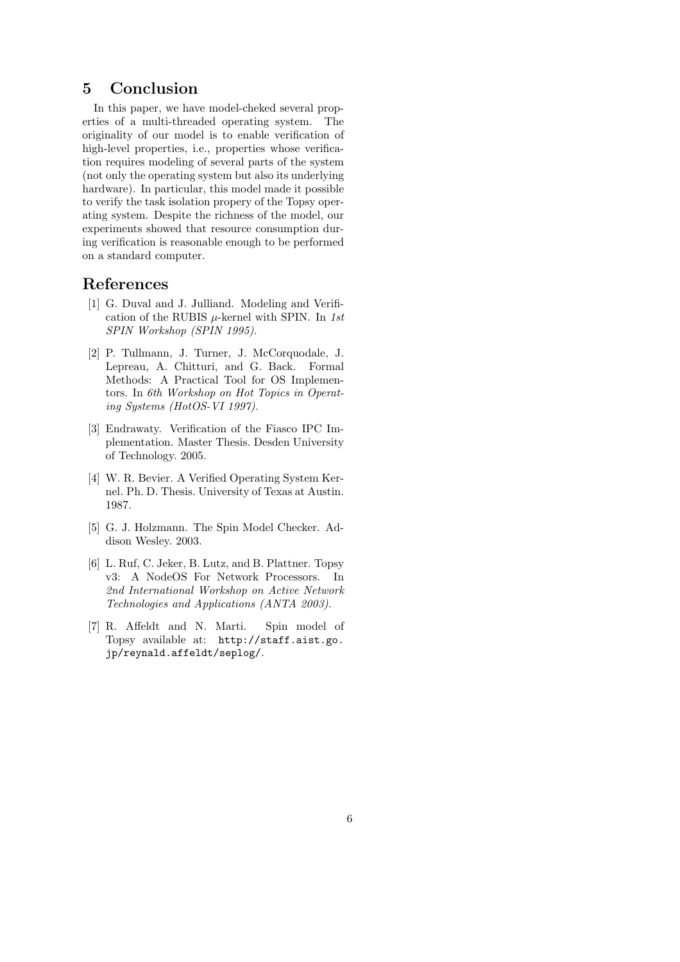# 5 Conclusion

In this paper, we have model-cheked several properties of a multi-threaded operating system. The originality of our model is to enable verification of high-level properties, i.e., properties whose verification requires modeling of several parts of the system (not only the operating system but also its underlying hardware). In particular, this model made it possible to verify the task isolation propery of the Topsy operating system. Despite the richness of the model, our experiments showed that resource consumption during verification is reasonable enough to be performed on a standard computer.

### References

- [1] G. Duval and J. Julliand. Modeling and Verification of the RUBIS  $\mu$ -kernel with SPIN. In 1st SPIN Workshop (SPIN 1995).
- [2] P. Tullmann, J. Turner, J. McCorquodale, J. Lepreau, A. Chitturi, and G. Back. Formal Methods: A Practical Tool for OS Implementors. In 6th Workshop on Hot Topics in Operating Systems (HotOS-VI 1997).
- [3] Endrawaty. Verification of the Fiasco IPC Implementation. Master Thesis. Desden University of Technology. 2005.
- [4] W. R. Bevier. A Verified Operating System Kernel. Ph. D. Thesis. University of Texas at Austin. 1987.
- [5] G. J. Holzmann. The Spin Model Checker. Addison Wesley. 2003.
- [6] L. Ruf, C. Jeker, B. Lutz, and B. Plattner. Topsy v3: A NodeOS For Network Processors. In 2nd International Workshop on Active Network Technologies and Applications (ANTA 2003).
- [7] R. Affeldt and N. Marti. Spin model of Topsy available at: http://staff.aist.go. jp/reynald.affeldt/seplog/.